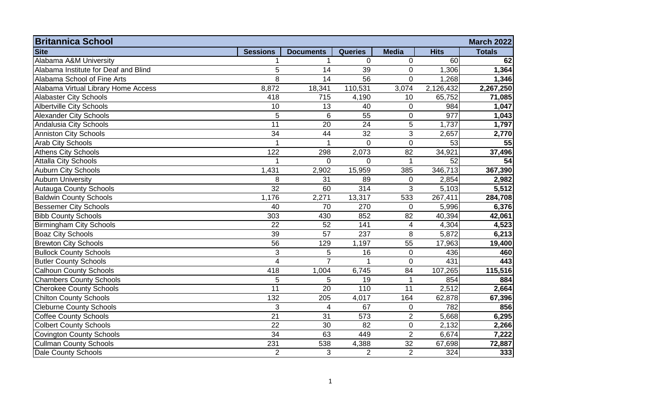| <b>Britannica School</b><br><b>March 2022</b> |                  |                  |                |                |             |               |  |
|-----------------------------------------------|------------------|------------------|----------------|----------------|-------------|---------------|--|
| <b>Site</b>                                   | <b>Sessions</b>  | <b>Documents</b> | <b>Queries</b> | <b>Media</b>   | <b>Hits</b> | <b>Totals</b> |  |
| Alabama A&M University                        |                  |                  | $\overline{0}$ | $\mathbf 0$    | 60          | 62            |  |
| Alabama Institute for Deaf and Blind          | 5                | 14               | 39             | $\mathbf 0$    | 1,306       | 1,364         |  |
| Alabama School of Fine Arts                   | 8                | 14               | 56             | $\mathbf 0$    | 1,268       | 1,346         |  |
| Alabama Virtual Library Home Access           | 8,872            | 18,341           | 110,531        | 3,074          | 2,126,432   | 2,267,250     |  |
| <b>Alabaster City Schools</b>                 | 418              | 715              | 4,190          | 10             | 65,752      | 71,085        |  |
| <b>Albertville City Schools</b>               | 10               | 13               | 40             | $\mathbf 0$    | 984         | 1,047         |  |
| <b>Alexander City Schools</b>                 | 5                | 6                | 55             | $\mathbf 0$    | 977         | 1,043         |  |
| Andalusia City Schools                        | $\overline{11}$  | 20               | 24             | 5              | 1,737       | 1,797         |  |
| <b>Anniston City Schools</b>                  | 34               | 44               | 32             | 3              | 2,657       | 2,770         |  |
| <b>Arab City Schools</b>                      |                  |                  | $\Omega$       | $\mathbf 0$    | 53          | 55            |  |
| <b>Athens City Schools</b>                    | 122              | 298              | 2,073          | 82             | 34,921      | 37,496        |  |
| <b>Attalla City Schools</b>                   |                  | $\overline{0}$   | $\Omega$       | 1              | 52          | 54            |  |
| <b>Auburn City Schools</b>                    | 1,431            | 2,902            | 15,959         | 385            | 346,713     | 367,390       |  |
| <b>Auburn University</b>                      | 8                | 31               | 89             | $\mathbf 0$    | 2,854       | 2,982         |  |
| <b>Autauga County Schools</b>                 | 32               | 60               | 314            | 3              | 5,103       | 5,512         |  |
| <b>Baldwin County Schools</b>                 | 1,176            | 2,271            | 13,317         | 533            | 267,411     | 284,708       |  |
| <b>Bessemer City Schools</b>                  | 40               | 70               | 270            | $\mathbf 0$    | 5,996       | 6,376         |  |
| <b>Bibb County Schools</b>                    | 303              | 430              | 852            | 82             | 40,394      | 42,061        |  |
| <b>Birmingham City Schools</b>                | 22               | 52               | 141            | $\overline{4}$ | 4,304       | 4,523         |  |
| <b>Boaz City Schools</b>                      | 39               | 57               | 237            | 8              | 5,872       | 6,213         |  |
| <b>Brewton City Schools</b>                   | 56               | 129              | 1,197          | 55             | 17,963      | 19,400        |  |
| <b>Bullock County Schools</b>                 | 3                | 5                | 16             | $\mathbf 0$    | 436         | 460           |  |
| <b>Butler County Schools</b>                  | $\overline{4}$   | $\overline{7}$   | -1             | $\mathbf{0}$   | 431         | 443           |  |
| <b>Calhoun County Schools</b>                 | 418              | 1,004            | 6,745          | 84             | 107,265     | 115,516       |  |
| <b>Chambers County Schools</b>                | 5                | 5                | 19             | $\mathbf 1$    | 854         | 884           |  |
| <b>Cherokee County Schools</b>                | 11               | 20               | 110            | 11             | 2,512       | 2,664         |  |
| <b>Chilton County Schools</b>                 | $\overline{132}$ | 205              | 4,017          | 164            | 62,878      | 67,396        |  |
| <b>Cleburne County Schools</b>                | 3                | $\overline{4}$   | 67             | $\mathbf 0$    | 782         | 856           |  |
| <b>Coffee County Schools</b>                  | 21               | 31               | 573            | $\overline{2}$ | 5,668       | 6,295         |  |
| <b>Colbert County Schools</b>                 | 22               | 30               | 82             | $\pmb{0}$      | 2,132       | 2,266         |  |
| <b>Covington County Schools</b>               | 34               | 63               | 449            | $\overline{2}$ | 6,674       | 7,222         |  |
| <b>Cullman County Schools</b>                 | 231              | 538              | 4,388          | 32             | 67,698      | 72,887        |  |
| <b>Dale County Schools</b>                    | 2                | 3                | $\overline{2}$ | $\overline{2}$ | 324         | 333           |  |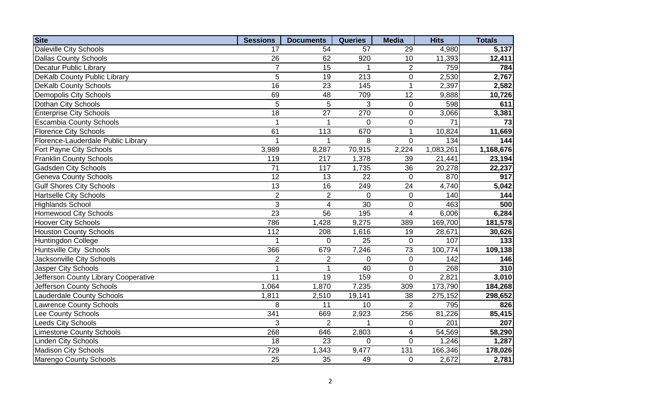| <b>Site</b>                          | <b>Sessions</b> | <b>Documents</b> | <b>Queries</b>  | <b>Media</b>    | <b>Hits</b> | <b>Totals</b> |
|--------------------------------------|-----------------|------------------|-----------------|-----------------|-------------|---------------|
| Daleville City Schools               | 17              | 54               | 57              | 29              | 4,980       | 5,137         |
| <b>Dallas County Schools</b>         | 26              | 62               | 920             | 10              | 11,393      | 12,411        |
| <b>Decatur Public Library</b>        | $\overline{7}$  | 15               |                 | 2               | 759         | 784           |
| DeKalb County Public Library         | $\overline{5}$  | 19               | 213             | $\pmb{0}$       | 2,530       | 2,767         |
| <b>DeKalb County Schools</b>         | 16              | 23               | 145             | $\overline{1}$  | 2,397       | 2,582         |
| <b>Demopolis City Schools</b>        | 69              | 48               | 709             | 12              | 9,888       | 10,726        |
| Dothan City Schools                  | 5               | 5                | 3               | $\mathbf 0$     | 598         | 611           |
| <b>Enterprise City Schools</b>       | $\overline{18}$ | $\overline{27}$  | 270             | $\mathbf 0$     | 3,066       | 3,381         |
| <b>Escambia County Schools</b>       | $\overline{1}$  | 1                | $\overline{0}$  | $\mathbf 0$     | 71          | 73            |
| <b>Florence City Schools</b>         | 61              | $\overline{113}$ | 670             | $\mathbf{1}$    | 10,824      | 11,669        |
| Florence-Lauderdale Public Library   |                 |                  | 8               | $\Omega$        | 134         | 144           |
| Fort Payne City Schools              | 3,989           | 8,287            | 70,915          | 2,224           | 1,083,261   | 1,168,676     |
| <b>Franklin County Schools</b>       | 119             | 217              | 1,378           | 39              | 21,441      | 23,194        |
| <b>Gadsden City Schools</b>          | 71              | 117              | 1,735           | 36              | 20,278      | 22,237        |
| <b>Geneva County Schools</b>         | $\overline{12}$ | 13               | 22              | $\mathbf 0$     | 870         | 917           |
| <b>Gulf Shores City Schools</b>      | $\overline{13}$ | 16               | 249             | 24              | 4,740       | 5,042         |
| <b>Hartselle City Schools</b>        | $\overline{2}$  | $\overline{2}$   | $\mathbf 0$     | $\pmb{0}$       | 140         | 144           |
| <b>Highlands School</b>              | 3               | 4                | 30              | $\mathbf 0$     | 463         | 500           |
| <b>Homewood City Schools</b>         | $\overline{23}$ | 56               | 195             | $\overline{4}$  | 6,006       | 6,284         |
| <b>Hoover City Schools</b>           | 786             | 1,428            | 9,275           | 389             | 169,700     | 181,578       |
| <b>Houston County Schools</b>        | 112             | 208              | 1,616           | 19              | 28,671      | 30,626        |
| Huntingdon College                   |                 | $\overline{0}$   | 25              | $\overline{0}$  | 107         | 133           |
| Huntsville City Schools              | 366             | 679              | 7,246           | $\overline{73}$ | 100,774     | 109,138       |
| <b>Jacksonville City Schools</b>     | $\overline{2}$  | $\overline{2}$   | $\overline{0}$  | $\mathbf 0$     | 142         | 146           |
| <b>Jasper City Schools</b>           | 1               |                  | $\overline{40}$ | $\overline{0}$  | 268         | 310           |
| Jefferson County Library Cooperative | 11              | 19               | 159             | $\overline{0}$  | 2,821       | 3,010         |
| Jefferson County Schools             | 1,064           | 1,870            | 7,235           | 309             | 173,790     | 184,268       |
| <b>Lauderdale County Schools</b>     | 1,811           | 2,510            | 19,141          | 38              | 275,152     | 298,652       |
| <b>Lawrence County Schools</b>       | 8               | 11               | 10              | $\overline{2}$  | 795         | 826           |
| Lee County Schools                   | 341             | 669              | 2,923           | 256             | 81,226      | 85,415        |
| <b>Leeds City Schools</b>            | 3               | $\overline{2}$   |                 | $\pmb{0}$       | 201         | 207           |
| <b>Limestone County Schools</b>      | 268             | 646              | 2,803           | $\overline{4}$  | 54,569      | 58,290        |
| <b>Linden City Schools</b>           | 18              | 23               | 0               | $\overline{0}$  | 1,246       | 1,287         |
| <b>Madison City Schools</b>          | 729             | 1,343            | 9,477           | 131             | 166,346     | 178,026       |
| <b>Marengo County Schools</b>        | 25              | 35               | 49              | $\mathbf 0$     | 2,672       | 2,781         |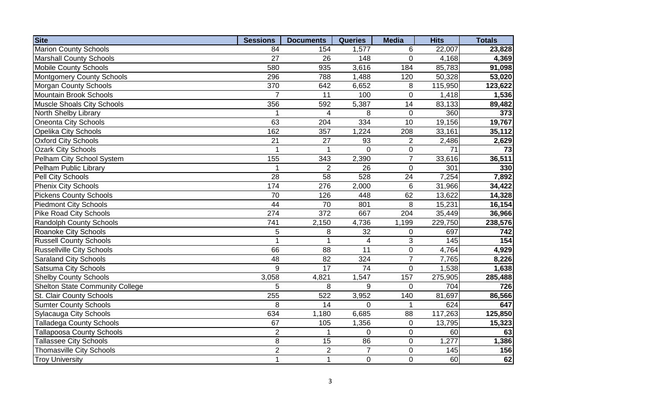| <b>Site</b>                            | <b>Sessions</b> | <b>Documents</b> | <b>Queries</b>  | <b>Media</b>    | <b>Hits</b>     | <b>Totals</b> |
|----------------------------------------|-----------------|------------------|-----------------|-----------------|-----------------|---------------|
| <b>Marion County Schools</b>           | 84              | 154              | 1,577           | 6               | 22,007          | 23,828        |
| <b>Marshall County Schools</b>         | 27              | 26               | 148             | $\Omega$        | 4,168           | 4,369         |
| <b>Mobile County Schools</b>           | 580             | 935              | 3,616           | 184             | 85,783          | 91,098        |
| <b>Montgomery County Schools</b>       | 296             | 788              | 1,488           | 120             | 50,328          | 53,020        |
| <b>Morgan County Schools</b>           | 370             | 642              | 6,652           | 8               | 115,950         | 123,622       |
| <b>Mountain Brook Schools</b>          | $\overline{7}$  | 11               | 100             | $\mathbf 0$     | 1,418           | 1,536         |
| <b>Muscle Shoals City Schools</b>      | 356             | 592              | 5,387           | 14              | 83,133          | 89,482        |
| North Shelby Library                   |                 | 4                | 8               | $\mathbf 0$     | 360             | 373           |
| Oneonta City Schools                   | 63              | 204              | 334             | 10              | 19,156          | 19,767        |
| Opelika City Schools                   | 162             | 357              | 1,224           | 208             | 33,161          | 35,112        |
| <b>Oxford City Schools</b>             | $\overline{21}$ | 27               | 93              | $\overline{2}$  | 2,486           | 2,629         |
| <b>Ozark City Schools</b>              |                 |                  | $\mathbf 0$     | $\pmb{0}$       | $\overline{71}$ | 73            |
| Pelham City School System              | 155             | 343              | 2,390           | $\overline{7}$  | 33,616          | 36,511        |
| Pelham Public Library                  | 1               | $\overline{2}$   | 26              | $\pmb{0}$       | 301             | 330           |
| Pell City Schools                      | 28              | 58               | 528             | 24              | 7,254           | 7,892         |
| <b>Phenix City Schools</b>             | 174             | 276              | 2,000           | $6\phantom{1}6$ | 31,966          | 34,422        |
| <b>Pickens County Schools</b>          | 70              | 126              | 448             | 62              | 13,622          | 14,328        |
| <b>Piedmont City Schools</b>           | 44              | 70               | 801             | 8               | 15,231          | 16,154        |
| <b>Pike Road City Schools</b>          | 274             | 372              | 667             | 204             | 35,449          | 36,966        |
| Randolph County Schools                | 741             | 2,150            | 4,736           | 1,199           | 229,750         | 238,576       |
| <b>Roanoke City Schools</b>            | 5               | 8                | 32              | $\overline{0}$  | 697             | 742           |
| <b>Russell County Schools</b>          | 1               |                  | $\overline{4}$  | 3               | 145             | 154           |
| <b>Russellville City Schools</b>       | 66              | $\overline{88}$  | $\overline{11}$ | $\mathbf 0$     | 4,764           | 4,929         |
| <b>Saraland City Schools</b>           | $\overline{48}$ | $\overline{82}$  | 324             | $\overline{7}$  | 7,765           | 8,226         |
| <b>Satsuma City Schools</b>            | $\overline{9}$  | $\overline{17}$  | $\overline{74}$ | $\overline{0}$  | 1,538           | 1,638         |
| <b>Shelby County Schools</b>           | 3,058           | 4,821            | 1,547           | 157             | 275,905         | 285,488       |
| <b>Shelton State Community College</b> | 5               | 8                | 9               | $\overline{0}$  | 704             | 726           |
| St. Clair County Schools               | 255             | 522              | 3,952           | 140             | 81,697          | 86,566        |
| <b>Sumter County Schools</b>           | 8               | 14               | $\mathbf 0$     | $\mathbf 1$     | 624             | 647           |
| <b>Sylacauga City Schools</b>          | 634             | 1,180            | 6,685           | 88              | 117,263         | 125,850       |
| <b>Talladega County Schools</b>        | 67              | 105              | 1,356           | $\mathbf 0$     | 13,795          | 15,323        |
| <b>Tallapoosa County Schools</b>       | $\overline{2}$  |                  | 0               | $\mathbf 0$     | 60              | 63            |
| <b>Tallassee City Schools</b>          | 8               | 15               | 86              | 0               | 1,277           | 1,386         |
| <b>Thomasville City Schools</b>        | $\overline{2}$  | $\overline{2}$   | $\overline{7}$  | $\mathbf 0$     | 145             | 156           |
| <b>Troy University</b>                 | $\overline{1}$  | $\mathbf{1}$     | 0               | $\mathbf 0$     | 60              | 62            |